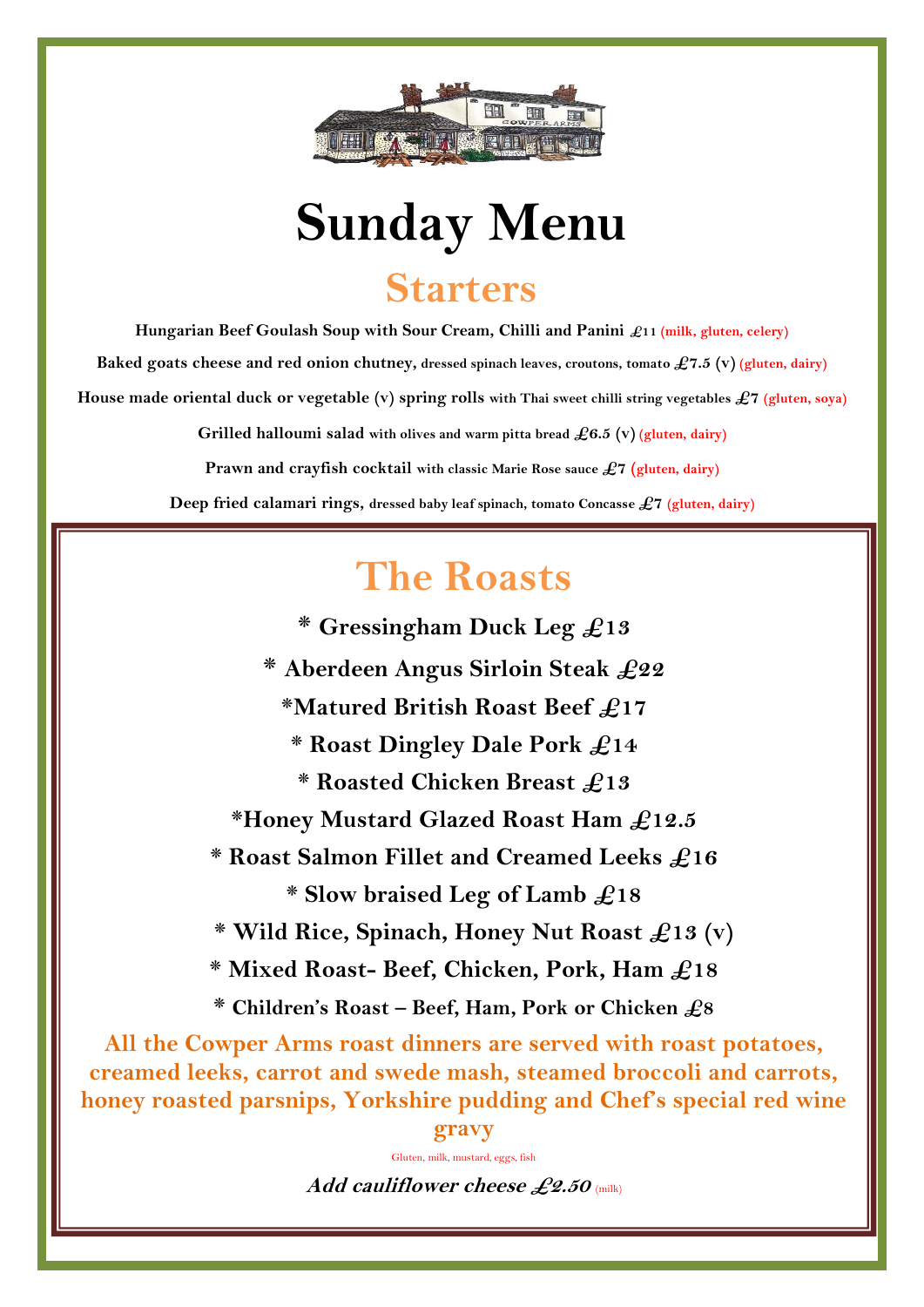

## **Sunday Menu Starters**

**Hungarian Beef Goulash Soup with Sour Cream, Chilli and Panini £11 (milk, gluten, celery)**

**Baked goats cheese and red onion chutney, dressed spinach leaves, croutons, tomato £7.5 (v) (gluten, dairy)**

**House made oriental duck or vegetable (v) spring rolls with Thai sweet chilli string vegetables £7 (gluten, soya)**

**Grilled halloumi salad with olives and warm pitta bread £6.5 (v) (gluten, dairy)**

**Prawn and crayfish cocktail with classic Marie Rose sauce £7 (gluten, dairy)**

**Deep fried calamari rings, dressed baby leaf spinach, tomato Concasse £7 (gluten, dairy)**

## **The Roasts**

**\* Gressingham Duck Leg £13**

**\* Aberdeen Angus Sirloin Steak £22**

**\*Matured British Roast Beef £17**

**\* Roast Dingley Dale Pork £14**

**\* Roasted Chicken Breast £13**

**\*Honey Mustard Glazed Roast Ham £12.5**

**\* Roast Salmon Fillet and Creamed Leeks £16**

**\* Slow braised Leg of Lamb £18**

 **\* Wild Rice, Spinach, Honey Nut Roast £13 (v)**

**\* Mixed Roast- Beef, Chicken, Pork, Ham £18**

**\* Children's Roast – Beef, Ham, Pork or Chicken £8**

**All the Cowper Arms roast dinners are served with roast potatoes, creamed leeks, carrot and swede mash, steamed broccoli and carrots, honey roasted parsnips, Yorkshire pudding and Chef's special red wine gravy** 

Gluten, milk, mustard, eggs, fish

**Add cauliflower cheese £2.50** (milk)